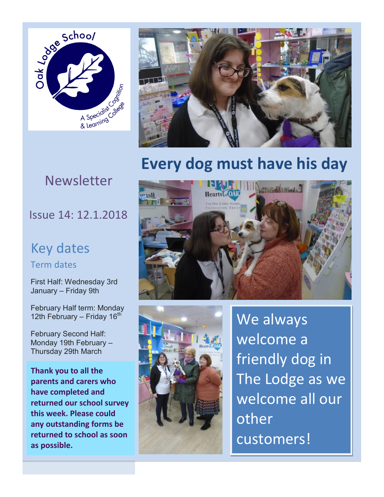

### Newsletter

#### Issue 14: 12.1.2018

# Key dates

Term dates

First Half: Wednesday 3rd January – Friday 9th

February Half term: Monday 12th February – Friday 16<sup>th</sup>

February Second Half: Monday 19th February – Thursday 29th March

**Thank you to all the Thank you to all the parents and carers who parents and carers who have completed and** returned our school survey this week. Please could any outstanding forms be returned to school as soon **as possible.**



# **Every dog must have his day**





We always welcome a friendly dog in The Lodge as we welcome all our other customers!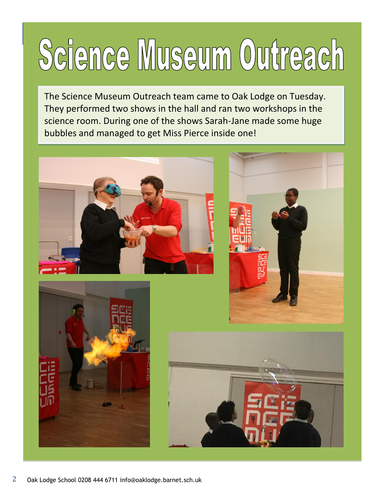The Science Museum Outreach team came to Oak Lodge on Tuesday. They performed two shows in the hall and ran two workshops in the science room. During one of the shows Sarah-Jane made some huge bubbles and managed to get Miss Pierce inside one!

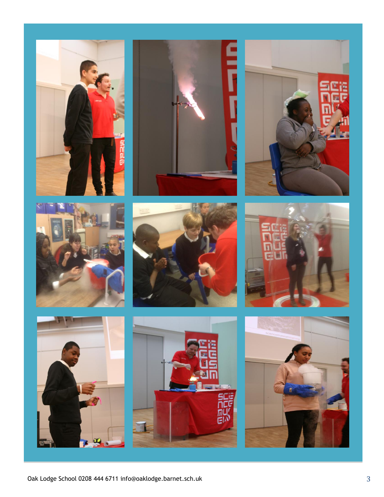